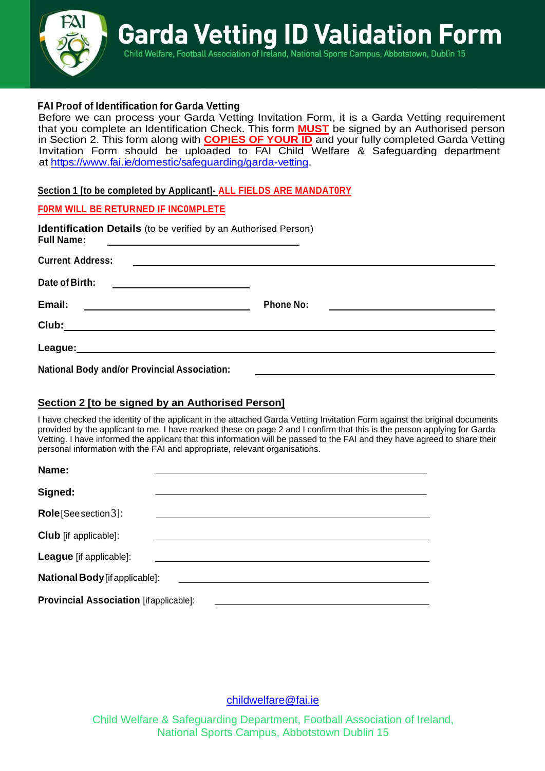

## **FAI Proof of Identification for Garda Vetting**

Before we can process your Garda Vetting Invitation Form, it is a Garda Vetting requirement that you complete an Identification Check. This form **MUST** be signed by an Authorised person in Section 2. This form along with **COPIES OF YOUR ID** and your fully completed Garda Vetting Invitation Form should be uploaded to FAI Child Welfare & Safeguarding department [at https://www.fai.ie/domestic/safeguarding/garda-v](https://www.fai.ie/domestic/safeguarding/garda-vetting)etting.

**Section 1 [to be completed by Applicant]- ALL FIELDS ARE MANDAT0RY**

### **F0RM WILL BE RETURNED IF INC0MPLETE**

| <b>Identification Details</b> (to be verified by an Authorised Person)<br><b>Full Name:</b>                                      |                  |  |
|----------------------------------------------------------------------------------------------------------------------------------|------------------|--|
| <b>Current Address:</b><br><u> 1989 - Johann Harry Barn, mars an t-Amerikaansk ferfinger (</u>                                   |                  |  |
| Date of Birth:<br><u> 1980 - John Stein, Amerikaansk politiker (</u>                                                             |                  |  |
| Email:<br><u> 1989 - Johann Stoff, deutscher Stoffen und der Stoffen und der Stoffen und der Stoffen und der Stoffen und der</u> | <b>Phone No:</b> |  |
| Club:<br><u> 1989 - Johann Barbara, martxa alemaniar arg</u>                                                                     |                  |  |
| League:<br><u> 1989 - Johann Stoff, deutscher Stoff, der Stoff, der Stoff, der Stoff, der Stoff, der Stoff, der Stoff, der S</u> |                  |  |
| <b>National Body and/or Provincial Association:</b>                                                                              |                  |  |

## **Section 2 [to be signed by an Authorised Person]**

I have checked the identity of the applicant in the attached Garda Vetting Invitation Form against the original documents provided by the applicant to me. I have marked these on page 2 and I confirm that this is the person applying for Garda Vetting. I have informed the applicant that this information will be passed to the FAI and they have agreed to share their personal information with the FAI and appropriate, relevant organisations.

| Name:                                         |  |
|-----------------------------------------------|--|
| Signed:                                       |  |
| <b>Role</b> [See section 3]:                  |  |
| <b>Club</b> [if applicable]:                  |  |
| League [if applicable]:                       |  |
| <b>National Body</b> [if applicable]:         |  |
| <b>Provincial Association [ifapplicable]:</b> |  |

[childwelfare@fai.ie](mailto:childwelfare@fai.ie)

Child Welfare & Safeguarding Department, Football Association of Ireland, National Sports Campus, Abbotstown Dublin 15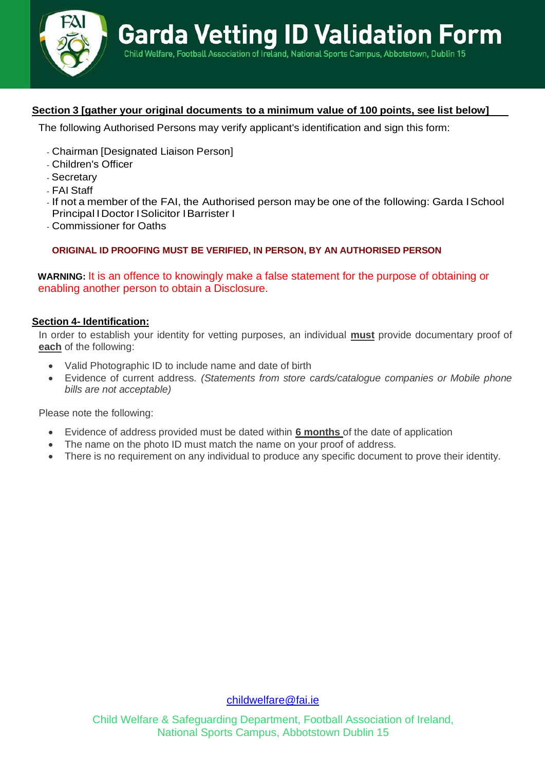

# **Section 3 [gather your original documents to a minimum value of 100 points, see list below]**

The following Authorised Persons may verify applicant's identification and sign this form:

- Chairman [Designated Liaison Person]
- Children's Officer
- Secretary
- FAI Staff
- If not a member of the FAI, the Authorised person may be one of the following: Garda ISchool Principal IDoctor ISolicitor IBarrister I
- Commissioner for Oaths

#### **ORIGINAL ID PROOFING MUST BE VERIFIED, IN PERSON, BY AN AUTHORISED PERSON**

**WARNING:** It is an offence to knowingly make a false statement for the purpose of obtaining or enabling another person to obtain a Disclosure.

#### **Section 4- Identification:**

In order to establish your identity for vetting purposes, an individual **must** provide documentary proof of **each** of the following:

- Valid Photographic ID to include name and date of birth
- Evidence of current address. *(Statements from store cards/catalogue companies or Mobile phone bills are not acceptable)*

Please note the following:

- Evidence of address provided must be dated within **6 months** of the date of application
- The name on the photo ID must match the name on your proof of address.
- There is no requirement on any individual to produce any specific document to prove their identity.

[childwelfare@fai.ie](mailto:childwelfare@fai.ie)